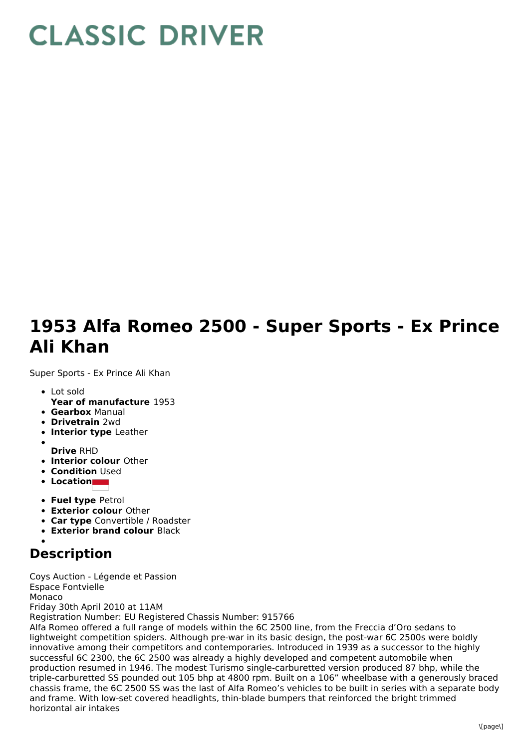## **CLASSIC DRIVER**

## **1953 Alfa Romeo 2500 - Super Sports - Ex Prince Ali Khan**

Super Sports - Ex Prince Ali Khan

- Lot sold
- **Year of manufacture** 1953
- **Gearbox** Manual
- **Drivetrain** 2wd
- **Interior type** Leather
- **Drive** RHD
- **Interior colour** Other
- **Condition Used**
- **Location**
- **Fuel type** Petrol
- **Exterior colour** Other
- **Car type** Convertible / Roadster
- **Exterior brand colour** Black
- 

## **Description**

Coys Auction - Légende et Passion Espace Fontvielle Monaco Friday 30th April 2010 at 11AM Registration Number: EU Registered Chassis Number: 915766

Alfa Romeo offered a full range of models within the 6C 2500 line, from the Freccia d'Oro sedans to lightweight competition spiders. Although pre-war in its basic design, the post-war 6C 2500s were boldly innovative among their competitors and contemporaries. Introduced in 1939 as a successor to the highly successful 6C 2300, the 6C 2500 was already a highly developed and competent automobile when production resumed in 1946. The modest Turismo single-carburetted version produced 87 bhp, while the triple-carburetted SS pounded out 105 bhp at 4800 rpm. Built on a 106" wheelbase with a generously braced chassis frame, the 6C 2500 SS was the last of Alfa Romeo's vehicles to be built in series with a separate body and frame. With low-set covered headlights, thin-blade bumpers that reinforced the bright trimmed horizontal air intakes